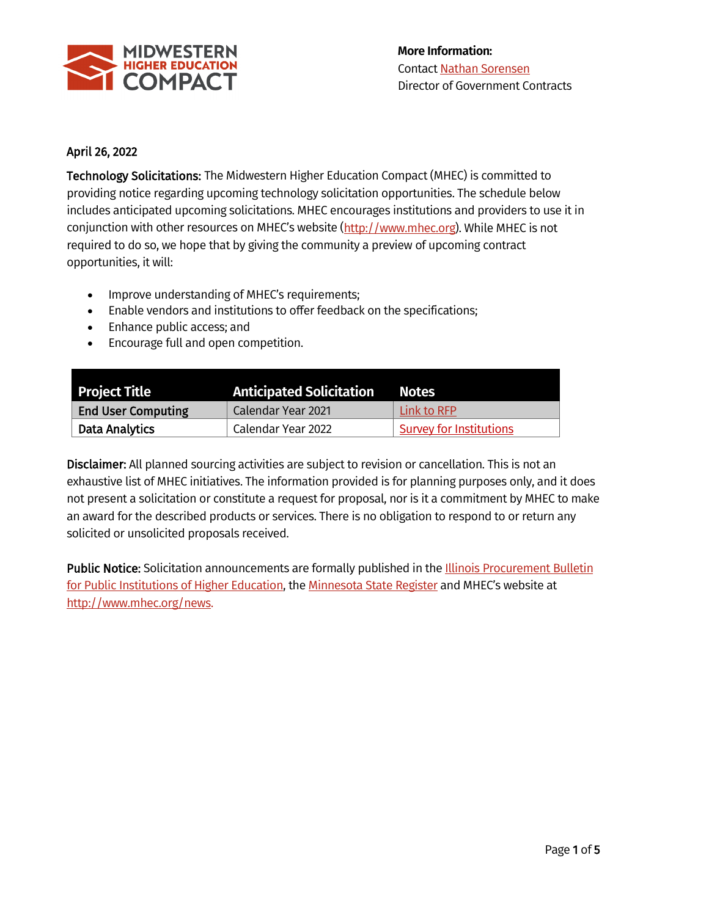

## April 26, 2022

Technology Solicitations: The Midwestern Higher Education Compact (MHEC) is committed to providing notice regarding upcoming technology solicitation opportunities. The schedule below includes anticipated upcoming solicitations. MHEC encourages institutions and providers to use it in conjunction with other resources on MHEC's website [\(http://www.mhec.org\)](http://www.mhec.org/). While MHEC is not required to do so, we hope that by giving the community a preview of upcoming contract opportunities, it will:

- Improve understanding of MHEC's requirements;
- Enable vendors and institutions to offer feedback on the specifications;
- Enhance public access; and
- Encourage full and open competition.

| <b>Project Title</b>      | <b>Anticipated Solicitation</b> | <b>Notes</b>            |
|---------------------------|---------------------------------|-------------------------|
| <b>End User Computing</b> | Calendar Year 2021              | Link to RFP             |
| Data Analytics            | Calendar Year 2022              | Survey for Institutions |

Disclaimer: All planned sourcing activities are subject to revision or cancellation. This is not an exhaustive list of MHEC initiatives. The information provided is for planning purposes only, and it does not present a solicitation or constitute a request for proposal, nor is it a commitment by MHEC to make an award for the described products or services. There is no obligation to respond to or return any solicited or unsolicited proposals received.

Public Notice: Solicitation announcements are formally published in the Illinois Procurement Bulletin [for Public Institutions of Higher Education,](https://www.procure.stateuniv.state.il.us/dsp_iphec.cfm) th[e Minnesota State Register](https://mn.gov/admin/bookstore/register.jsp) and MHEC's website at [http://www.mhec.org/news.](http://www.mhec.org/news)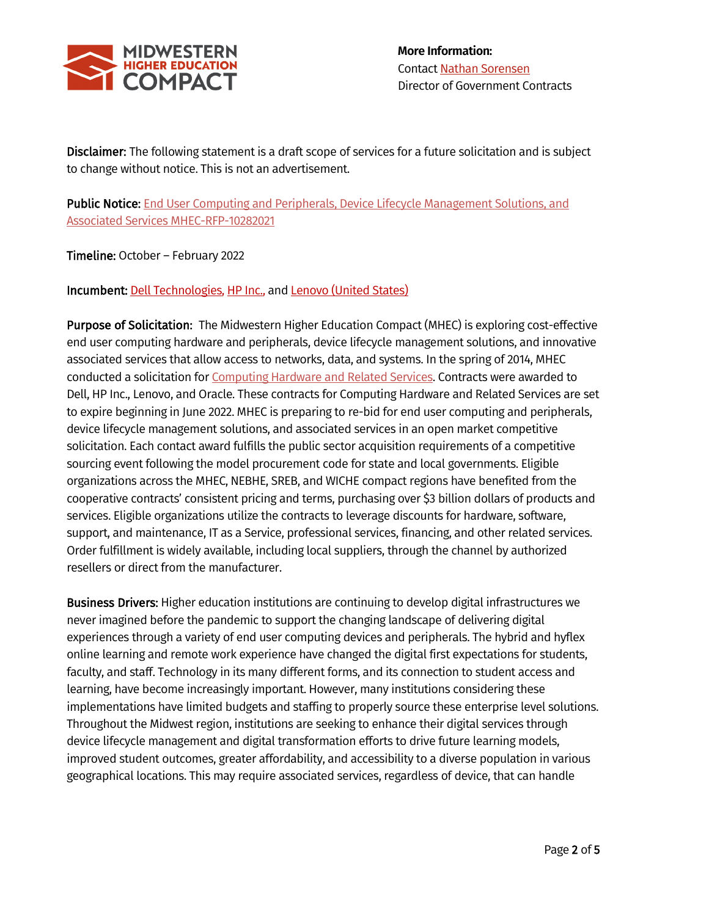

Disclaimer: The following statement is a draft scope of services for a future solicitation and is subject to change without notice. This is not an advertisement.

Public Notice: End User Computing and Peripherals, Device Lifecycle Management Solutions, and Associated Services [MHEC-RFP-10282021](https://www.mhec.org/news/rfp-end-user-computing-peripherals-device-lifecycle-management-and-associated-services-mhec)

Timeline: October – February 2022

Incumbent: Dell [Technologies,](https://www.mhec.org/contracts/technology/computers/dell-technologies) [HP Inc.,](https://www.mhec.org/contracts/technology/computers/hp-inc) and [Lenovo \(United States\)](https://www.mhec.org/contracts/technology/computers/lenovo-united-states-inc)

Purpose of Solicitation: The Midwestern Higher Education Compact (MHEC) is exploring cost-effective end user computing hardware and peripherals, device lifecycle management solutions, and innovative associated services that allow access to networks, data, and systems. In the spring of 2014, MHEC conducted a solicitation for [Computing Hardware and Related Services.](https://www.mhec.org/news/rfp-computing-hardware-and-related-services-desktops-laptops-tablets-servers-storage) Contracts were awarded to Dell, HP Inc., Lenovo, and Oracle. These contracts for Computing Hardware and Related Services are set to expire beginning in June 2022. MHEC is preparing to re-bid for end user computing and peripherals, device lifecycle management solutions, and associated services in an open market competitive solicitation. Each contact award fulfills the public sector acquisition requirements of a competitive sourcing event following the model procurement code for state and local governments. Eligible organizations across the MHEC, NEBHE, SREB, and WICHE compact regions have benefited from the cooperative contracts' consistent pricing and terms, purchasing over \$3 billion dollars of products and services. Eligible organizations utilize the contracts to leverage discounts for hardware, software, support, and maintenance, IT as a Service, professional services, financing, and other related services. Order fulfillment is widely available, including local suppliers, through the channel by authorized resellers or direct from the manufacturer.

Business Drivers: Higher education institutions are continuing to develop digital infrastructures we never imagined before the pandemic to support the changing landscape of delivering digital experiences through a variety of end user computing devices and peripherals. The hybrid and hyflex online learning and remote work experience have changed the digital first expectations for students, faculty, and staff. Technology in its many different forms, and its connection to student access and learning, have become increasingly important. However, many institutions considering these implementations have limited budgets and staffing to properly source these enterprise level solutions. Throughout the Midwest region, institutions are seeking to enhance their digital services through device lifecycle management and digital transformation efforts to drive future learning models, improved student outcomes, greater affordability, and accessibility to a diverse population in various geographical locations. This may require associated services, regardless of device, that can handle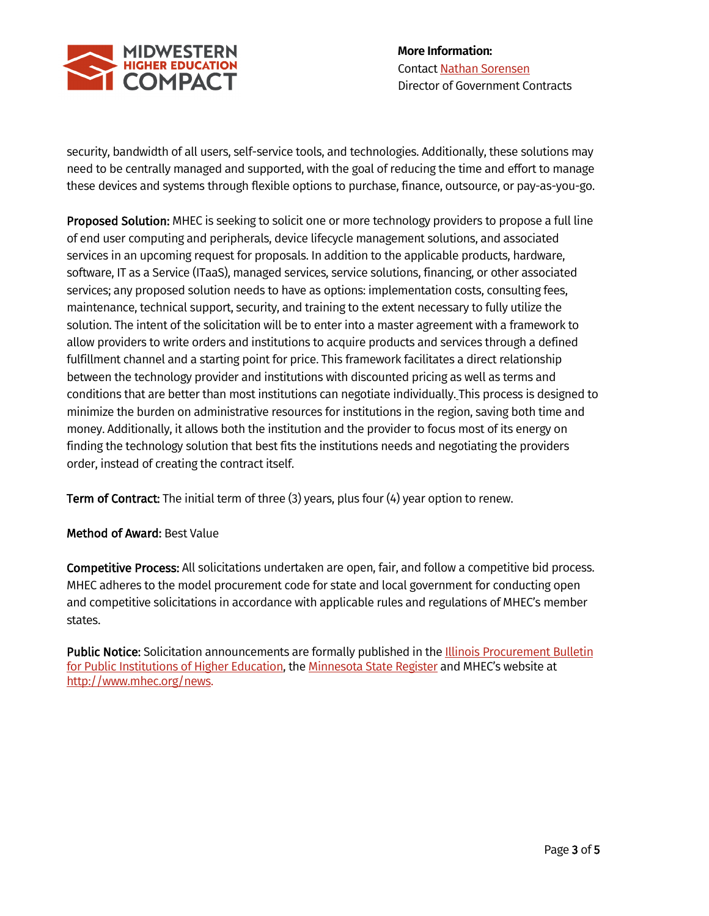

security, bandwidth of all users, self-service tools, and technologies. Additionally, these solutions may need to be centrally managed and supported, with the goal of reducing the time and effort to manage these devices and systems through flexible options to purchase, finance, outsource, or pay-as-you-go.

Proposed Solution: MHEC is seeking to solicit one or more technology providers to propose a full line of end user computing and peripherals, device lifecycle management solutions, and associated services in an upcoming request for proposals. In addition to the applicable products, hardware, software, IT as a Service (ITaaS), managed services, service solutions, financing, or other associated services; any proposed solution needs to have as options: implementation costs, consulting fees, maintenance, technical support, security, and training to the extent necessary to fully utilize the solution. The intent of the solicitation will be to enter into a master agreement with a framework to allow providers to write orders and institutions to acquire products and services through a defined fulfillment channel and a starting point for price. This framework facilitates a direct relationship between the technology provider and institutions with discounted pricing as well as terms and conditions that are better than most institutions can negotiate individually. This process is designed to minimize the burden on administrative resources for institutions in the region, saving both time and money. Additionally, it allows both the institution and the provider to focus most of its energy on finding the technology solution that best fits the institutions needs and negotiating the providers order, instead of creating the contract itself.

Term of Contract: The initial term of three (3) years, plus four (4) year option to renew.

## Method of Award: Best Value

Competitive Process: All solicitations undertaken are open, fair, and follow a competitive bid process. MHEC adheres to the model procurement code for state and local government for conducting open and competitive solicitations in accordance with applicable rules and regulations of MHEC's member states.

Public Notice: Solicitation announcements are formally published in the Illinois Procurement Bulletin [for Public Institutions of Higher Education,](https://www.procure.stateuniv.state.il.us/dsp_iphec.cfm) th[e Minnesota State Register](https://mn.gov/admin/bookstore/register.jsp) and MHEC's website at [http://www.mhec.org/news.](http://www.mhec.org/news)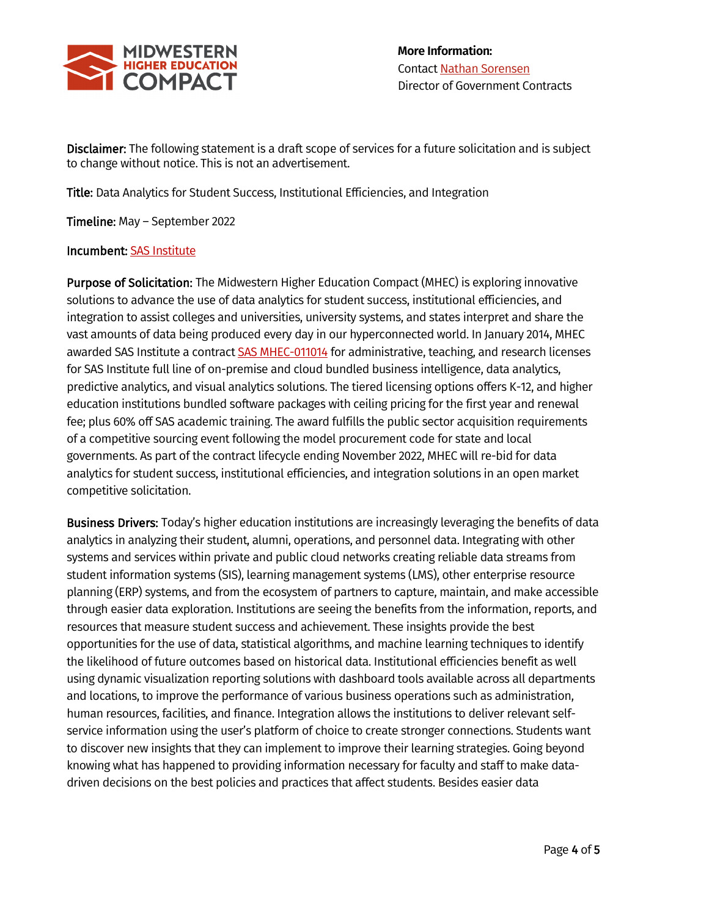

Disclaimer: The following statement is a draft scope of services for a future solicitation and is subject to change without notice. This is not an advertisement.

Title: Data Analytics for Student Success, Institutional Efficiencies, and Integration

Timeline: May – September 2022

## Incumbent: [SAS Institute](https://www.mhec.org/contracts/technology/software/sas)

Purpose of Solicitation: The Midwestern Higher Education Compact (MHEC) is exploring innovative solutions to advance the use of data analytics for student success, institutional efficiencies, and integration to assist colleges and universities, university systems, and states interpret and share the vast amounts of data being produced every day in our hyperconnected world. In January 2014, MHEC awarded SAS Institute a contrac[t SAS MHEC-011014](https://www.mhec.org/contracts/technology/software/sas) for administrative, teaching, and research licenses for SAS Institute full line of on-premise and cloud bundled business intelligence, data analytics, predictive analytics, and visual analytics solutions. The tiered licensing options offers K-12, and higher education institutions bundled software packages with ceiling pricing for the first year and renewal fee; plus 60% off SAS academic training. The award fulfills the public sector acquisition requirements of a competitive sourcing event following the model procurement code for state and local governments. As part of the contract lifecycle ending November 2022, MHEC will re-bid for data analytics for student success, institutional efficiencies, and integration solutions in an open market competitive solicitation.

Business Drivers: Today's higher education institutions are increasingly leveraging the benefits of data analytics in analyzing their student, alumni, operations, and personnel data. Integrating with other systems and services within private and public cloud networks creating reliable data streams from student information systems (SIS), learning management systems (LMS), other enterprise resource planning (ERP) systems, and from the ecosystem of partners to capture, maintain, and make accessible through easier data exploration. Institutions are seeing the benefits from the information, reports, and resources that measure student success and achievement. These insights provide the best opportunities for the use of data, statistical algorithms, and machine learning techniques to identify the likelihood of future outcomes based on historical data. Institutional efficiencies benefit as well using dynamic visualization reporting solutions with dashboard tools available across all departments and locations, to improve the performance of various business operations such as administration, human resources, facilities, and finance. Integration allows the institutions to deliver relevant selfservice information using the user's platform of choice to create stronger connections. Students want to discover new insights that they can implement to improve their learning strategies. Going beyond knowing what has happened to providing information necessary for faculty and staff to make datadriven decisions on the best policies and practices that affect students. Besides easier data